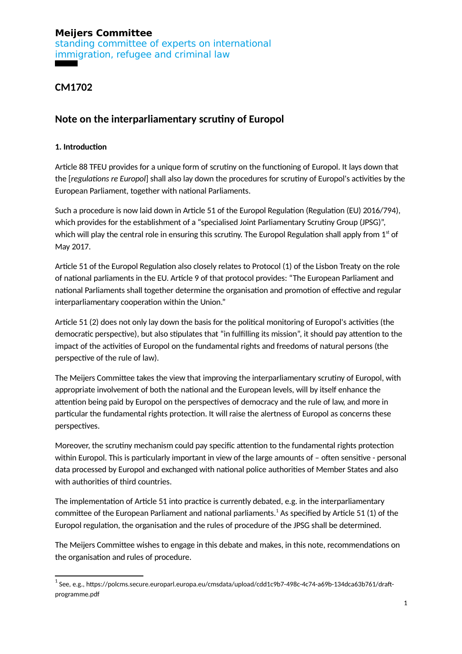standing committee of experts on international immigration, refugee and criminal law

**CM1702**

## **Note on the interparliamentary scrutiny of Europol**

#### **1. Introduction**

Article 88 TFEU provides for a unique form of scrutiny on the functioning of Europol. It lays down that the [*regulations re Europol*] shall also lay down the procedures for scrutiny of Europol's activities by the European Parliament, together with national Parliaments.

Such a procedure is now laid down in Article 51 of the Europol Regulation (Regulation (EU) 2016/794), which provides for the establishment of a "specialised Joint Parliamentary Scrutiny Group (JPSG)", which will play the central role in ensuring this scrutiny. The Europol Regulation shall apply from  $1<sup>st</sup>$  of May 2017.

Article 51 of the Europol Regulation also closely relates to Protocol (1) of the Lisbon Treaty on the role of national parliaments in the EU. Article 9 of that protocol provides: "The European Parliament and national Parliaments shall together determine the organisation and promotion of effective and regular interparliamentary cooperation within the Union."

Article 51 (2) does not only lay down the basis for the political monitoring of Europol's activities (the democratic perspective), but also stipulates that "in fulfilling its mission", it should pay attention to the impact of the activities of Europol on the fundamental rights and freedoms of natural persons (the perspective of the rule of law).

The Meijers Committee takes the view that improving the interparliamentary scrutiny of Europol, with appropriate involvement of both the national and the European levels, will by itself enhance the attention being paid by Europol on the perspectives of democracy and the rule of law, and more in particular the fundamental rights protection. It will raise the alertness of Europol as concerns these perspectives.

Moreover, the scrutiny mechanism could pay specific attention to the fundamental rights protection within Europol. This is particularly important in view of the large amounts of – often sensitive - personal data processed by Europol and exchanged with national police authorities of Member States and also with authorities of third countries.

The implementation of Article 51 into practice is currently debated, e.g. in the interparliamentary committee of the European Parliament and national parliaments. $^1$  $^1$  As specified by Article 51 (1) of the Europol regulation, the organisation and the rules of procedure of the JPSG shall be determined.

The Meijers Committee wishes to engage in this debate and makes, in this note, recommendations on the organisation and rules of procedure.

<span id="page-0-0"></span> $^{\rm 1}$ See, e.g., https://polcms.secure.europarl.europa.eu/cmsdata/upload/cdd1c9b7-498c-4c74-a69b-134dca63b761/draftprogramme.pdf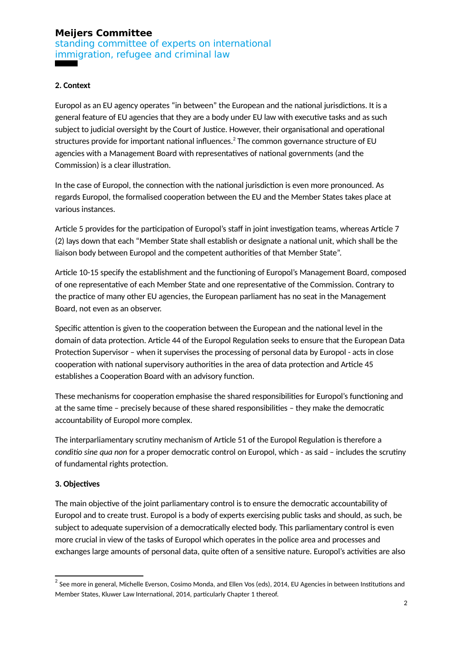standing committee of experts on international immigration, refugee and criminal law

#### **2. Context**

Europol as an EU agency operates "in between" the European and the national jurisdictions. It is a general feature of EU agencies that they are a body under EU law with executive tasks and as such subject to judicial oversight by the Court of Justice. However, their organisational and operational structures provide for important national influences. $^2$  $^2$  The common governance structure of EU agencies with a Management Board with representatives of national governments (and the Commission) is a clear illustration.

In the case of Europol, the connection with the national jurisdiction is even more pronounced. As regards Europol, the formalised cooperation between the EU and the Member States takes place at various instances.

Article 5 provides for the participation of Europol's staff in joint investigation teams, whereas Article 7 (2) lays down that each "Member State shall establish or designate a national unit, which shall be the liaison body between Europol and the competent authorities of that Member State".

Article 10-15 specify the establishment and the functioning of Europol's Management Board, composed of one representative of each Member State and one representative of the Commission. Contrary to the practice of many other EU agencies, the European parliament has no seat in the Management Board, not even as an observer.

Specific attention is given to the cooperation between the European and the national level in the domain of data protection. Article 44 of the Europol Regulation seeks to ensure that the European Data Protection Supervisor – when it supervises the processing of personal data by Europol - acts in close cooperation with national supervisory authorities in the area of data protection and Article 45 establishes a Cooperation Board with an advisory function.

These mechanisms for cooperation emphasise the shared responsibilities for Europol's functioning and at the same time – precisely because of these shared responsibilities – they make the democratic accountability of Europol more complex.

The interparliamentary scrutiny mechanism of Article 51 of the Europol Regulation is therefore a *conditio sine qua non* for a proper democratic control on Europol, which - as said – includes the scrutiny of fundamental rights protection.

#### **3. Objectives**

The main objective of the joint parliamentary control is to ensure the democratic accountability of Europol and to create trust. Europol is a body of experts exercising public tasks and should, as such, be subject to adequate supervision of a democratically elected body. This parliamentary control is even more crucial in view of the tasks of Europol which operates in the police area and processes and exchanges large amounts of personal data, quite often of a sensitive nature. Europol's activities are also

<span id="page-1-0"></span> $^{\rm 2}$  See more in general, Michelle Everson, Cosimo Monda, and Ellen Vos (eds), 2014, EU Agencies in between Institutions and Member States, Kluwer Law International, 2014, particularly Chapter 1 thereof.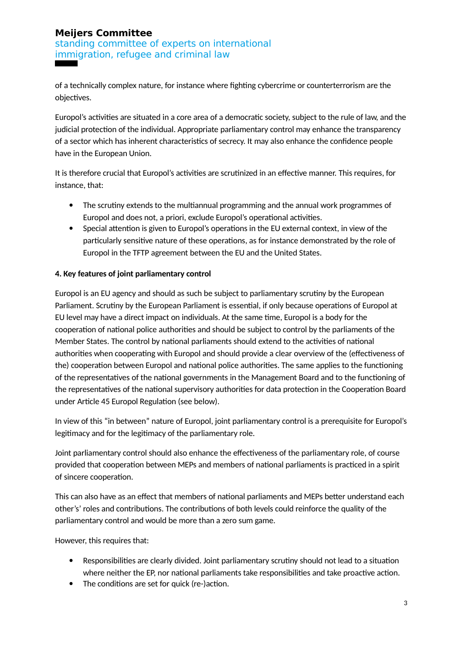standing committee of experts on international immigration, refugee and criminal law

of a technically complex nature, for instance where fighting cybercrime or counterterrorism are the objectives.

Europol's activities are situated in a core area of a democratic society, subject to the rule of law, and the judicial protection of the individual. Appropriate parliamentary control may enhance the transparency of a sector which has inherent characteristics of secrecy. It may also enhance the confidence people have in the European Union.

It is therefore crucial that Europol's activities are scrutinized in an effective manner. This requires, for instance, that:

- The scrutiny extends to the multiannual programming and the annual work programmes of Europol and does not, a priori, exclude Europol's operational activities.
- Special attention is given to Europol's operations in the EU external context, in view of the particularly sensitive nature of these operations, as for instance demonstrated by the role of Europol in the TFTP agreement between the EU and the United States.

### **4. Key features of joint parliamentary control**

Europol is an EU agency and should as such be subject to parliamentary scrutiny by the European Parliament. Scrutiny by the European Parliament is essential, if only because operations of Europol at EU level may have a direct impact on individuals. At the same time, Europol is a body for the cooperation of national police authorities and should be subject to control by the parliaments of the Member States. The control by national parliaments should extend to the activities of national authorities when cooperating with Europol and should provide a clear overview of the (effectiveness of the) cooperation between Europol and national police authorities. The same applies to the functioning of the representatives of the national governments in the Management Board and to the functioning of the representatives of the national supervisory authorities for data protection in the Cooperation Board under Article 45 Europol Regulation (see below).

In view of this "in between" nature of Europol, joint parliamentary control is a prerequisite for Europol's legitimacy and for the legitimacy of the parliamentary role.

Joint parliamentary control should also enhance the effectiveness of the parliamentary role, of course provided that cooperation between MEPs and members of national parliaments is practiced in a spirit of sincere cooperation.

This can also have as an effect that members of national parliaments and MEPs better understand each other's' roles and contributions. The contributions of both levels could reinforce the quality of the parliamentary control and would be more than a zero sum game.

However, this requires that:

- Responsibilities are clearly divided. Joint parliamentary scrutiny should not lead to a situation where neither the EP, nor national parliaments take responsibilities and take proactive action.
- The conditions are set for quick (re-)action.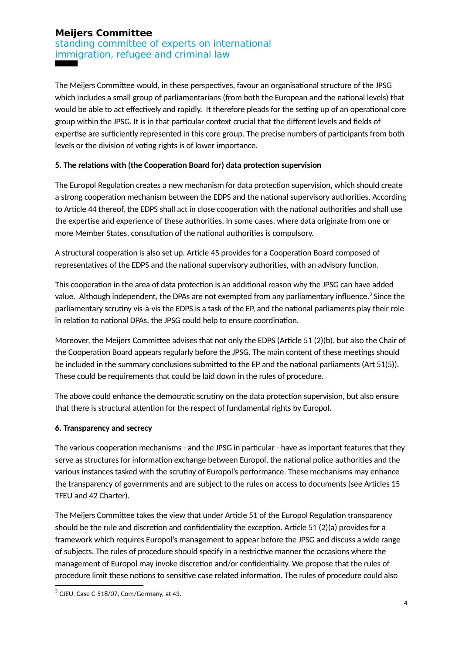standing committee of experts on international immigration, refugee and criminal law

The Meijers Committee would, in these perspectives, favour an organisational structure of the JPSG which includes a small group of parliamentarians (from both the European and the national levels) that would be able to act effectively and rapidly. It therefore pleads for the setting up of an operational core group within the JPSG. It is in that particular context crucial that the different levels and fields of expertise are sufficiently represented in this core group. The precise numbers of participants from both levels or the division of voting rights is of lower importance.

#### **5. The relations with (the Cooperation Board for) data protection supervision**

The Europol Regulation creates a new mechanism for data protection supervision, which should create a strong cooperation mechanism between the EDPS and the national supervisory authorities. According to Article 44 thereof, the EDPS shall act in close cooperation with the national authorities and shall use the expertise and experience of these authorities. In some cases, where data originate from one or more Member States, consultation of the national authorities is compulsory.

A structural cooperation is also set up. Article 45 provides for a Cooperation Board composed of representatives of the EDPS and the national supervisory authorities, with an advisory function.

This cooperation in the area of data protection is an additional reason why the JPSG can have added value. Although independent, the DPAs are not exempted from any parliamentary influence. $^3$  $^3$  Since the parliamentary scrutiny vis-à-vis the EDPS is a task of the EP, and the national parliaments play their role in relation to national DPAs, the JPSG could help to ensure coordination.

Moreover, the Meijers Committee advises that not only the EDPS (Article 51 (2)(b), but also the Chair of the Cooperation Board appears regularly before the JPSG. The main content of these meetings should be included in the summary conclusions submitted to the EP and the national parliaments (Art 51(5)). These could be requirements that could be laid down in the rules of procedure.

The above could enhance the democratic scrutiny on the data protection supervision, but also ensure that there is structural attention for the respect of fundamental rights by Europol.

#### **6. Transparency and secrecy**

The various cooperation mechanisms - and the JPSG in particular - have as important features that they serve as structures for information exchange between Europol, the national police authorities and the various instances tasked with the scrutiny of Europol's performance. These mechanisms may enhance the transparency of governments and are subject to the rules on access to documents (see Articles 15 TFEU and 42 Charter).

The Meijers Committee takes the view that under Article 51 of the Europol Regulation transparency should be the rule and discretion and confidentiality the exception. Article 51 (2)(a) provides for a framework which requires Europol's management to appear before the JPSG and discuss a wide range of subjects. The rules of procedure should specify in a restrictive manner the occasions where the management of Europol may invoke discretion and/or confidentiality. We propose that the rules of procedure limit these notions to sensitive case related information. The rules of procedure could also

<span id="page-3-0"></span> $^3$  CJEU, Case C-518/07, Com/Germany, at 43.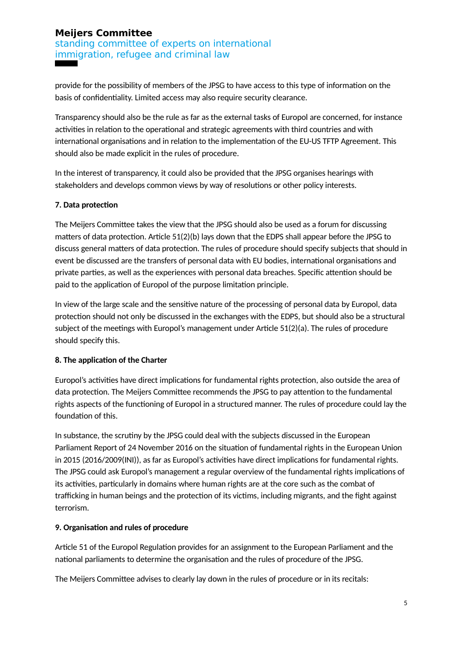standing committee of experts on international immigration, refugee and criminal law

provide for the possibility of members of the JPSG to have access to this type of information on the basis of confidentiality. Limited access may also require security clearance.

Transparency should also be the rule as far as the external tasks of Europol are concerned, for instance activities in relation to the operational and strategic agreements with third countries and with international organisations and in relation to the implementation of the EU-US TFTP Agreement. This should also be made explicit in the rules of procedure.

In the interest of transparency, it could also be provided that the JPSG organises hearings with stakeholders and develops common views by way of resolutions or other policy interests.

#### **7. Data protection**

The Meijers Committee takes the view that the JPSG should also be used as a forum for discussing matters of data protection. Article 51(2)(b) lays down that the EDPS shall appear before the JPSG to discuss general matters of data protection. The rules of procedure should specify subjects that should in event be discussed are the transfers of personal data with EU bodies, international organisations and private parties, as well as the experiences with personal data breaches. Specific attention should be paid to the application of Europol of the purpose limitation principle.

In view of the large scale and the sensitive nature of the processing of personal data by Europol, data protection should not only be discussed in the exchanges with the EDPS, but should also be a structural subject of the meetings with Europol's management under Article 51(2)(a). The rules of procedure should specify this.

#### **8. The application of the Charter**

Europol's activities have direct implications for fundamental rights protection, also outside the area of data protection. The Meijers Committee recommends the JPSG to pay attention to the fundamental rights aspects of the functioning of Europol in a structured manner. The rules of procedure could lay the foundation of this.

In substance, the scrutiny by the JPSG could deal with the subjects discussed in the European Parliament Report of 24 November 2016 on the situation of fundamental rights in the European Union in 2015 (2016/2009(INI)), as far as Europol's activities have direct implications for fundamental rights. The JPSG could ask Europol's management a regular overview of the fundamental rights implications of its activities, particularly in domains where human rights are at the core such as the combat of trafficking in human beings and the protection of its victims, including migrants, and the fight against terrorism.

#### **9. Organisation and rules of procedure**

Article 51 of the Europol Regulation provides for an assignment to the European Parliament and the national parliaments to determine the organisation and the rules of procedure of the JPSG.

The Meijers Committee advises to clearly lay down in the rules of procedure or in its recitals: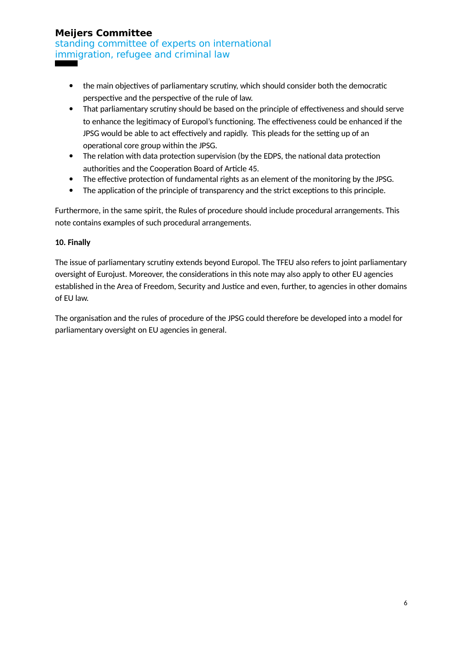standing committee of experts on international immigration, refugee and criminal law

- the main objectives of parliamentary scrutiny, which should consider both the democratic perspective and the perspective of the rule of law.
- That parliamentary scrutiny should be based on the principle of effectiveness and should serve to enhance the legitimacy of Europol's functioning. The effectiveness could be enhanced if the JPSG would be able to act effectively and rapidly. This pleads for the setting up of an operational core group within the JPSG.
- The relation with data protection supervision (by the EDPS, the national data protection authorities and the Cooperation Board of Article 45.
- The effective protection of fundamental rights as an element of the monitoring by the JPSG.
- The application of the principle of transparency and the strict exceptions to this principle.

Furthermore, in the same spirit, the Rules of procedure should include procedural arrangements. This note contains examples of such procedural arrangements.

## **10. Finally**

The issue of parliamentary scrutiny extends beyond Europol. The TFEU also refers to joint parliamentary oversight of Eurojust. Moreover, the considerations in this note may also apply to other EU agencies established in the Area of Freedom, Security and Justice and even, further, to agencies in other domains of EU law.

The organisation and the rules of procedure of the JPSG could therefore be developed into a model for parliamentary oversight on EU agencies in general.